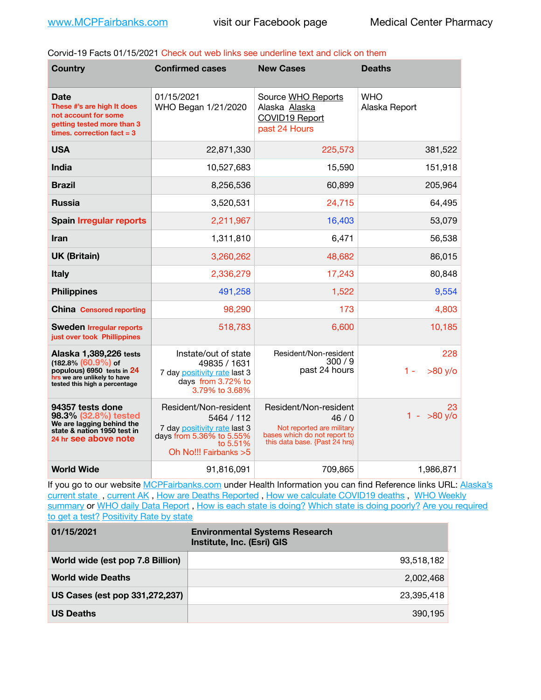Corvid-19 Facts 01/15/2021 Check out web links see underline text and click on them

| <b>Country</b>                                                                                                                                 | <b>Confirmed cases</b>                                                                                                                | <b>New Cases</b>                                                                                                            | <b>Deaths</b>               |
|------------------------------------------------------------------------------------------------------------------------------------------------|---------------------------------------------------------------------------------------------------------------------------------------|-----------------------------------------------------------------------------------------------------------------------------|-----------------------------|
| Date<br>These #'s are high It does<br>not account for some<br>getting tested more than 3<br>times, correction fact $=$ 3                       | 01/15/2021<br>WHO Began 1/21/2020                                                                                                     | Source WHO Reports<br>Alaska Alaska<br><b>COVID19 Report</b><br>past 24 Hours                                               | <b>WHO</b><br>Alaska Report |
| <b>USA</b>                                                                                                                                     | 22,871,330                                                                                                                            | 225,573                                                                                                                     | 381,522                     |
| <b>India</b>                                                                                                                                   | 10,527,683                                                                                                                            | 15,590                                                                                                                      | 151,918                     |
| <b>Brazil</b>                                                                                                                                  | 8,256,536                                                                                                                             | 60,899                                                                                                                      | 205,964                     |
| <b>Russia</b>                                                                                                                                  | 3,520,531                                                                                                                             | 24,715                                                                                                                      | 64,495                      |
| <b>Spain Irregular reports</b>                                                                                                                 | 2,211,967                                                                                                                             | 16,403                                                                                                                      | 53,079                      |
| <b>Iran</b>                                                                                                                                    | 1,311,810                                                                                                                             | 6,471                                                                                                                       | 56,538                      |
| <b>UK (Britain)</b>                                                                                                                            | 3,260,262                                                                                                                             | 48,682                                                                                                                      | 86,015                      |
| <b>Italy</b>                                                                                                                                   | 2,336,279                                                                                                                             | 17,243                                                                                                                      | 80,848                      |
| <b>Philippines</b>                                                                                                                             | 491,258                                                                                                                               | 1,522                                                                                                                       | 9,554                       |
| <b>China</b> Censored reporting                                                                                                                | 98,290                                                                                                                                | 173                                                                                                                         | 4,803                       |
| <b>Sweden Irregular reports</b><br>just over took Phillippines                                                                                 | 518,783                                                                                                                               | 6,600                                                                                                                       | 10,185                      |
| Alaska 1,389,226 tests<br>$(182.8\%)(60.9\%)$ of<br>populous) 6950 tests in 24<br>hrs we are unlikely to have<br>tested this high a percentage | Instate/out of state<br>49835 / 1631<br>7 day positivity rate last 3<br>days from 3.72% to<br>3.79% to 3.68%                          | Resident/Non-resident<br>300/9<br>past 24 hours                                                                             | 228<br>$>80$ y/o<br>$1 -$   |
| 94357 tests done<br>98.3% (32.8%) tested<br>We are lagging behind the<br>state & nation 1950 test in<br>24 hr see above note                   | Resident/Non-resident<br>5464 / 112<br>7 day positivity rate last 3<br>days from 5.36% to 5.55%<br>to 5.51%<br>Oh No!!! Fairbanks > 5 | Resident/Non-resident<br>46/0<br>Not reported are military<br>bases which do not report to<br>this data base. {Past 24 hrs) | 23<br>$1 - 80$ y/o          |
| <b>World Wide</b>                                                                                                                              | 91,816,091                                                                                                                            | 709,865                                                                                                                     | 1,986,871                   |

If you go to our website [MCPFairbanks.com](http://www.MCPFairbanks.com) under Health Information you can find Reference links URL: Alaska's current state, current AK, [How are Deaths Reported](http://dhss.alaska.gov/dph/Epi/id/Pages/COVID-19/deathcounts.aspx), [How we calculate COVID19 deaths](https://coronavirus-response-alaska-dhss.hub.arcgis.com/search?collection=Document&groupIds=41ccb3344ebc4bd682c74073eba21f42), WHO Weekly [summary](http://www.who.int) or [WHO daily Data Report](https://covid19.who.int/table), [How is each state is doing?](https://www.msn.com/en-us/news/us/state-by-state-coronavirus-news/ar-BB13E1PX?fbclid=IwAR0_OBJH7lSyTN3ug_MsOeFnNgB1orTa9OBgilKJ7dhnwlVvHEsptuKkj1c) [Which state is doing poorly?](https://bestlifeonline.com/covid-outbreak-your-state/?utm_source=nsltr&utm_medium=email&utm_content=covid-outbreak-your-state&utm_campaign=launch) Are you required [to get a test?](http://dhss.alaska.gov/dph/Epi/id/SiteAssets/Pages/HumanCoV/Whattodoafteryourtest.pdf) [Positivity Rate by state](https://coronavirus.jhu.edu/testing/individual-states/alaska)

| 01/15/2021                       | <b>Environmental Systems Research</b><br>Institute, Inc. (Esri) GIS |
|----------------------------------|---------------------------------------------------------------------|
| World wide (est pop 7.8 Billion) | 93.518.182                                                          |
| <b>World wide Deaths</b>         | 2.002.468                                                           |
| US Cases (est pop 331,272,237)   | 23,395,418                                                          |
| <b>US Deaths</b>                 | 390.195                                                             |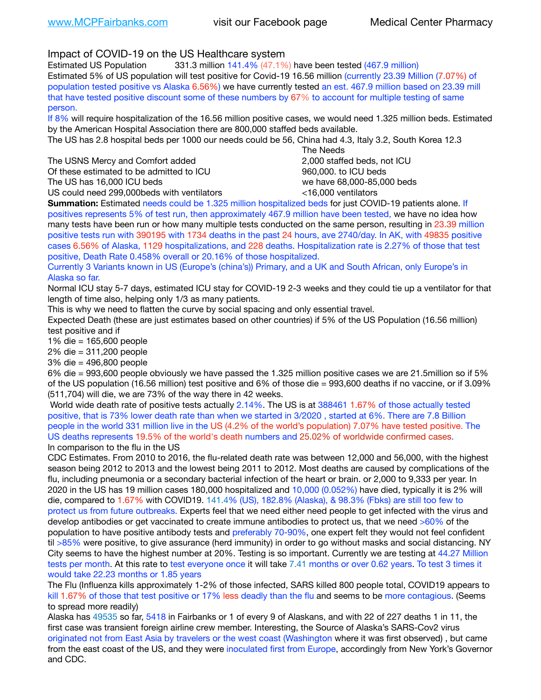Impact of COVID-19 on the US Healthcare system

Estimated US Population 331.3 million 141.4% (47.1%) have been tested (467.9 million) Estimated 5% of US population will test positive for Covid-19 16.56 million (currently 23.39 Million (7.07%) of population tested positive vs Alaska 6.56%) we have currently tested an est. 467.9 million based on 23.39 mill that have tested positive discount some of these numbers by 67% to account for multiple testing of same person.

If 8% will require hospitalization of the 16.56 million positive cases, we would need 1.325 million beds. Estimated by the American Hospital Association there are 800,000 staffed beds available.

The US has 2.8 hospital beds per 1000 our needs could be 56, China had 4.3, Italy 3.2, South Korea 12.3

The USNS Mercy and Comfort added **8.2000** staffed beds, not ICU Of these estimated to be admitted to ICU 860,000. to ICU beds The US has 16,000 ICU beds we have 68,000-85,000 beds

 The Needs US could need 299,000beds with ventilators <16,000 ventilators

**Summation:** Estimated needs could be 1.325 million hospitalized beds for just COVID-19 patients alone. If positives represents 5% of test run, then approximately 467.9 million have been tested, we have no idea how many tests have been run or how many multiple tests conducted on the same person, resulting in 23.39 million positive tests run with 390195 with 1734 deaths in the past 24 hours, ave 2740/day. In AK, with 49835 positive cases 6.56% of Alaska, 1129 hospitalizations, and 228 deaths. Hospitalization rate is 2.27% of those that test positive, Death Rate 0.458% overall or 20.16% of those hospitalized.

Currently 3 Variants known in US (Europe's (china's)) Primary, and a UK and South African, only Europe's in Alaska so far.

Normal ICU stay 5-7 days, estimated ICU stay for COVID-19 2-3 weeks and they could tie up a ventilator for that length of time also, helping only 1/3 as many patients.

This is why we need to flatten the curve by social spacing and only essential travel.

Expected Death (these are just estimates based on other countries) if 5% of the US Population (16.56 million) test positive and if

1% die = 165,600 people

2% die = 311,200 people

3% die = 496,800 people

6% die = 993,600 people obviously we have passed the 1.325 million positive cases we are 21.5million so if 5% of the US population (16.56 million) test positive and 6% of those die = 993,600 deaths if no vaccine, or if 3.09% (511,704) will die, we are 73% of the way there in 42 weeks.

 World wide death rate of positive tests actually 2.14%. The US is at 388461 1.67% of those actually tested positive, that is 73% lower death rate than when we started in 3/2020 , started at 6%. There are 7.8 Billion people in the world 331 million live in the US (4.2% of the world's population) 7.07% have tested positive. The US deaths represents 19.5% of the world's death numbers and 25.02% of worldwide confirmed cases. In comparison to the flu in the US

CDC Estimates. From 2010 to 2016, the flu-related death rate was between 12,000 and 56,000, with the highest season being 2012 to 2013 and the lowest being 2011 to 2012. Most deaths are caused by complications of the flu, including pneumonia or a secondary bacterial infection of the heart or brain. or 2,000 to 9,333 per year. In 2020 in the US has 19 million cases 180,000 hospitalized and 10,000 (0.052%) have died, typically it is 2% will die, compared to 1.67% with COVID19. 141.4% (US), 182.8% (Alaska), & 98.3% (Fbks) are still too few to protect us from future outbreaks. Experts feel that we need either need people to get infected with the virus and develop antibodies or get vaccinated to create immune antibodies to protect us, that we need >60% of the population to have positive antibody tests and preferably 70-90%, one expert felt they would not feel confident til >85% were positive, to give assurance (herd immunity) in order to go without masks and social distancing. NY City seems to have the highest number at 20%. Testing is so important. Currently we are testing at 44.27 Million tests per month. At this rate to test everyone once it will take 7.41 months or over 0.62 years. To test 3 times it would take 22.23 months or 1.85 years

The Flu (Influenza kills approximately 1-2% of those infected, SARS killed 800 people total, COVID19 appears to kill 1.67% of those that test positive or 17% less deadly than the flu and seems to be more contagious. (Seems to spread more readily)

Alaska has 49535 so far, 5418 in Fairbanks or 1 of every 9 of Alaskans, and with 22 of 227 deaths 1 in 11, the first case was transient foreign airline crew member. Interesting, the Source of Alaska's SARS-Cov2 virus originated not from East Asia by travelers or the west coast (Washington where it was first observed) , but came from the east coast of the US, and they were inoculated first from Europe, accordingly from New York's Governor and CDC.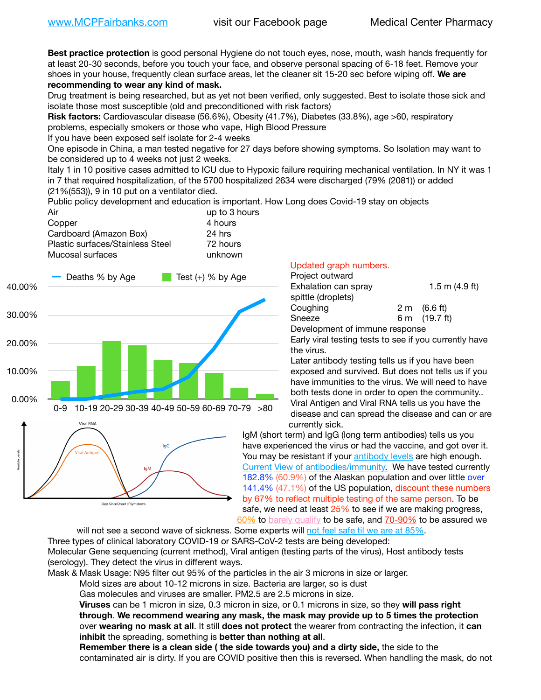**Best practice protection** is good personal Hygiene do not touch eyes, nose, mouth, wash hands frequently for at least 20-30 seconds, before you touch your face, and observe personal spacing of 6-18 feet. Remove your shoes in your house, frequently clean surface areas, let the cleaner sit 15-20 sec before wiping off. **We are recommending to wear any kind of mask.**

Drug treatment is being researched, but as yet not been verified, only suggested. Best to isolate those sick and isolate those most susceptible (old and preconditioned with risk factors)

**Risk factors:** Cardiovascular disease (56.6%), Obesity (41.7%), Diabetes (33.8%), age >60, respiratory problems, especially smokers or those who vape, High Blood Pressure

If you have been exposed self isolate for 2-4 weeks

One episode in China, a man tested negative for 27 days before showing symptoms. So Isolation may want to be considered up to 4 weeks not just 2 weeks.

Italy 1 in 10 positive cases admitted to ICU due to Hypoxic failure requiring mechanical ventilation. In NY it was 1 in 7 that required hospitalization, of the 5700 hospitalized 2634 were discharged (79% (2081)) or added (21%(553)), 9 in 10 put on a ventilator died.

Public policy development and education is important. How Long does Covid-19 stay on objects

| Air                              | up to 3 hours |
|----------------------------------|---------------|
| Copper                           | 4 hours       |
| Cardboard (Amazon Box)           | 24 hrs        |
| Plastic surfaces/Stainless Steel | 72 hours      |
| Mucosal surfaces                 | unknown       |
|                                  |               |



## Updated graph numbers.

| Project outward                |                        |
|--------------------------------|------------------------|
| Exhalation can spray           | 1.5 m $(4.9$ ft)       |
| spittle (droplets)             |                        |
| Coughing                       | $2 \text{ m}$ (6.6 ft) |
| Sneeze                         | 6 m (19.7 ft)          |
| Development of immune response |                        |

Early viral testing tests to see if you currently have the virus.

Later antibody testing tells us if you have been exposed and survived. But does not tells us if you have immunities to the virus. We will need to have both tests done in order to open the community.. Viral Antigen and Viral RNA tells us you have the disease and can spread the disease and can or are currently sick.

IgM (short term) and IgG (long term antibodies) tells us you have experienced the virus or had the vaccine, and got over it. You may be resistant if your [antibody levels](https://www.cdc.gov/coronavirus/2019-ncov/lab/resources/antibody-tests.html) are high enough. [Current](https://l.facebook.com/l.php?u=https://www.itv.com/news/2020-10-26/covid-19-antibody-levels-reduce-over-time-study-finds?fbclid=IwAR3Dapzh1qIH1EIOdUQI2y8THf7jfA4KBCaJz8Qg-8xe1YsrR4nsAHDIXSY&h=AT30nut8pkqp0heVuz5W2rT2WFFm-2Ab52BsJxZZCNlGsX58IpPkuVEPULbIUV_M16MAukx1Kwb657DPXxsgDN1rpOQ4gqBtQsmVYiWpnHPJo2RQsU6CPMd14lgLnQnFWxfVi6zvmw&__tn__=-UK-R&c%5B0%5D=AT1GaRAfR_nGAyqcn7TI1-PpvqOqEKXHnz6TDWvRStMnOSH7boQDvTiwTOc6VId9UES6LKiOmm2m88wKCoolkJyOFvakt2Z1Mw8toYWGGoWW23r0MNVBl7cYJXB_UOvGklNHaNnaNr1_S7NhT3BSykNOBg) [View of antibodies/immunity](https://www.livescience.com/antibodies.html)[.](https://www.itv.com/news/2020-10-26/covid-19-antibody-levels-reduce-over-time-study-finds) We have tested currently 182.8% (60.9%) of the Alaskan population and over little over 141.4% (47.1%) of the US population, discount these numbers by 67% to reflect multiple testing of the same person. To be safe, we need at least 25% to see if we are making progress, [60%](https://www.jhsph.edu/covid-19/articles/achieving-herd-immunity-with-covid19.html) to [barely qualify](https://www.nature.com/articles/d41586-020-02948-4) to be safe, and [70-90%](https://www.mayoclinic.org/herd-immunity-and-coronavirus/art-20486808) to be assured we

will not see a second wave of sickness. Some experts will [not feel safe til we are at 85%.](https://www.bannerhealth.com/healthcareblog/teach-me/what-is-herd-immunity) Three types of clinical laboratory COVID-19 or SARS-CoV-2 tests are being developed: Molecular Gene sequencing (current method), Viral antigen (testing parts of the virus), Host antibody tests (serology). They detect the virus in different ways.

Mask & Mask Usage: N95 filter out 95% of the particles in the air 3 microns in size or larger.

Mold sizes are about 10-12 microns in size. Bacteria are larger, so is dust

Gas molecules and viruses are smaller. PM2.5 are 2.5 microns in size.

**Viruses** can be 1 micron in size, 0.3 micron in size, or 0.1 microns in size, so they **will pass right through**. **We recommend wearing any mask, the mask may provide up to 5 times the protection** over **wearing no mask at all**. It still **does not protect** the wearer from contracting the infection, it **can inhibit** the spreading, something is **better than nothing at all**.

**Remember there is a clean side ( the side towards you) and a dirty side,** the side to the contaminated air is dirty. If you are COVID positive then this is reversed. When handling the mask, do not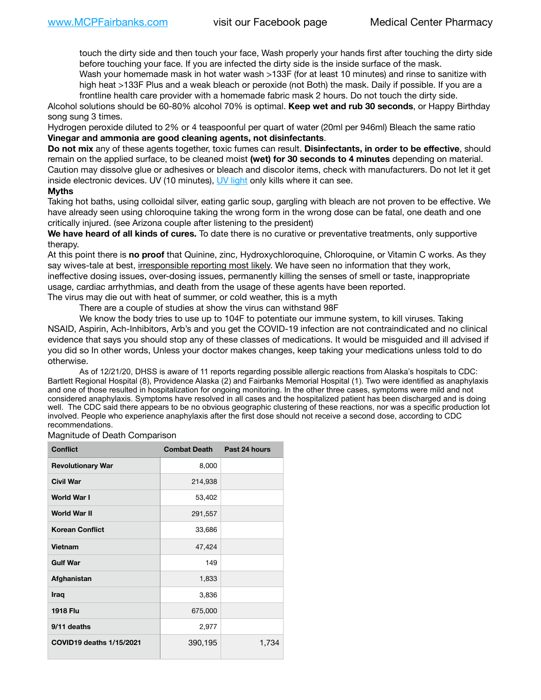touch the dirty side and then touch your face, Wash properly your hands first after touching the dirty side before touching your face. If you are infected the dirty side is the inside surface of the mask.

Wash your homemade mask in hot water wash >133F (for at least 10 minutes) and rinse to sanitize with high heat >133F Plus and a weak bleach or peroxide (not Both) the mask. Daily if possible. If you are a frontline health care provider with a homemade fabric mask 2 hours. Do not touch the dirty side.

Alcohol solutions should be 60-80% alcohol 70% is optimal. **Keep wet and rub 30 seconds**, or Happy Birthday song sung 3 times.

Hydrogen peroxide diluted to 2% or 4 teaspoonful per quart of water (20ml per 946ml) Bleach the same ratio **Vinegar and ammonia are good cleaning agents, not disinfectants**.

**Do not mix** any of these agents together, toxic fumes can result. **Disinfectants, in order to be effective**, should remain on the applied surface, to be cleaned moist **(wet) for 30 seconds to 4 minutes** depending on material. Caution may dissolve glue or adhesives or bleach and discolor items, check with manufacturers. Do not let it get inside electronic devices. UV (10 minutes), [UV light](http://www.docreviews.me/best-uv-boxes-2020/?fbclid=IwAR3bvFtXB48OoBBSvYvTEnKuHNPbipxM6jUo82QUSw9wckxjC7wwRZWabGw) only kills where it can see.

## **Myths**

Taking hot baths, using colloidal silver, eating garlic soup, gargling with bleach are not proven to be effective. We have already seen using chloroquine taking the wrong form in the wrong dose can be fatal, one death and one critically injured. (see Arizona couple after listening to the president)

**We have heard of all kinds of cures.** To date there is no curative or preventative treatments, only supportive therapy.

At this point there is **no proof** that Quinine, zinc, Hydroxychloroquine, Chloroquine, or Vitamin C works. As they say wives-tale at best, irresponsible reporting most likely. We have seen no information that they work, ineffective dosing issues, over-dosing issues, permanently killing the senses of smell or taste, inappropriate usage, cardiac arrhythmias, and death from the usage of these agents have been reported. The virus may die out with heat of summer, or cold weather, this is a myth

There are a couple of studies at show the virus can withstand 98F

We know the body tries to use up to 104F to potentiate our immune system, to kill viruses. Taking NSAID, Aspirin, Ach-Inhibitors, Arb's and you get the COVID-19 infection are not contraindicated and no clinical evidence that says you should stop any of these classes of medications. It would be misguided and ill advised if you did so In other words, Unless your doctor makes changes, keep taking your medications unless told to do otherwise.

As of 12/21/20, DHSS is aware of 11 reports regarding possible allergic reactions from Alaska's hospitals to CDC: Bartlett Regional Hospital (8), Providence Alaska (2) and Fairbanks Memorial Hospital (1). Two were identified as anaphylaxis and one of those resulted in hospitalization for ongoing monitoring. In the other three cases, symptoms were mild and not considered anaphylaxis. Symptoms have resolved in all cases and the hospitalized patient has been discharged and is doing well. The CDC said there appears to be no obvious geographic clustering of these reactions, nor was a specific production lot involved. People who experience anaphylaxis after the first dose should not receive a second dose, according to CDC recommendations.

Magnitude of Death Comparison

| <b>Conflict</b>                 | <b>Combat Death</b> | Past 24 hours |
|---------------------------------|---------------------|---------------|
| <b>Revolutionary War</b>        | 8,000               |               |
| <b>Civil War</b>                | 214,938             |               |
| World War I                     | 53,402              |               |
| World War II                    | 291,557             |               |
| <b>Korean Conflict</b>          | 33,686              |               |
| <b>Vietnam</b>                  | 47,424              |               |
| <b>Gulf War</b>                 | 149                 |               |
| Afghanistan                     | 1,833               |               |
| <b>Iraq</b>                     | 3,836               |               |
| <b>1918 Flu</b>                 | 675,000             |               |
| 9/11 deaths                     | 2,977               |               |
| <b>COVID19 deaths 1/15/2021</b> | 390,195             | 1,734         |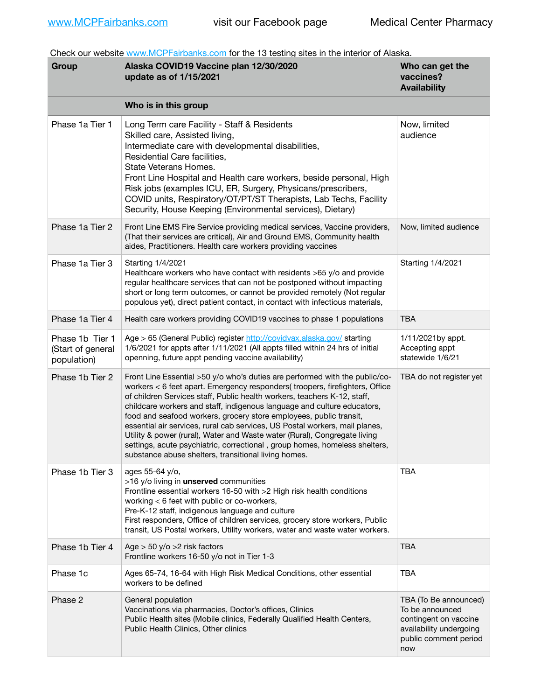Check our website [www.MCPFairbanks.com](http://www.MCPFairbanks.com) for the 13 testing sites in the interior of Alaska.

| Group                                               | Alaska COVID19 Vaccine plan 12/30/2020<br>update as of 1/15/2021                                                                                                                                                                                                                                                                                                                                                                                                                                                                                                                                                                                                                           | Who can get the<br>vaccines?<br><b>Availability</b>                                                                          |
|-----------------------------------------------------|--------------------------------------------------------------------------------------------------------------------------------------------------------------------------------------------------------------------------------------------------------------------------------------------------------------------------------------------------------------------------------------------------------------------------------------------------------------------------------------------------------------------------------------------------------------------------------------------------------------------------------------------------------------------------------------------|------------------------------------------------------------------------------------------------------------------------------|
|                                                     | Who is in this group                                                                                                                                                                                                                                                                                                                                                                                                                                                                                                                                                                                                                                                                       |                                                                                                                              |
| Phase 1a Tier 1                                     | Long Term care Facility - Staff & Residents<br>Skilled care, Assisted living,<br>Intermediate care with developmental disabilities,<br>Residential Care facilities,<br>State Veterans Homes.<br>Front Line Hospital and Health care workers, beside personal, High<br>Risk jobs (examples ICU, ER, Surgery, Physicans/prescribers,<br>COVID units, Respiratory/OT/PT/ST Therapists, Lab Techs, Facility<br>Security, House Keeping (Environmental services), Dietary)                                                                                                                                                                                                                      | Now, limited<br>audience                                                                                                     |
| Phase 1a Tier 2                                     | Front Line EMS Fire Service providing medical services, Vaccine providers,<br>(That their services are critical), Air and Ground EMS, Community health<br>aides, Practitioners. Health care workers providing vaccines                                                                                                                                                                                                                                                                                                                                                                                                                                                                     | Now, limited audience                                                                                                        |
| Phase 1a Tier 3                                     | Starting 1/4/2021<br>Healthcare workers who have contact with residents >65 y/o and provide<br>regular healthcare services that can not be postponed without impacting<br>short or long term outcomes, or cannot be provided remotely (Not regular<br>populous yet), direct patient contact, in contact with infectious materials,                                                                                                                                                                                                                                                                                                                                                         | Starting 1/4/2021                                                                                                            |
| Phase 1a Tier 4                                     | Health care workers providing COVID19 vaccines to phase 1 populations                                                                                                                                                                                                                                                                                                                                                                                                                                                                                                                                                                                                                      | <b>TBA</b>                                                                                                                   |
| Phase 1b Tier 1<br>(Start of general<br>population) | Age > 65 (General Public) register http://covidvax.alaska.gov/ starting<br>1/6/2021 for appts after 1/11/2021 (All appts filled within 24 hrs of initial<br>openning, future appt pending vaccine availability)                                                                                                                                                                                                                                                                                                                                                                                                                                                                            | 1/11/2021by appt.<br>Accepting appt<br>statewide 1/6/21                                                                      |
| Phase 1b Tier 2                                     | Front Line Essential >50 y/o who's duties are performed with the public/co-<br>workers < 6 feet apart. Emergency responders( troopers, firefighters, Office<br>of children Services staff, Public health workers, teachers K-12, staff,<br>childcare workers and staff, indigenous language and culture educators,<br>food and seafood workers, grocery store employees, public transit,<br>essential air services, rural cab services, US Postal workers, mail planes,<br>Utility & power (rural), Water and Waste water (Rural), Congregate living<br>settings, acute psychiatric, correctional, group homes, homeless shelters,<br>substance abuse shelters, transitional living homes. | TBA do not register yet                                                                                                      |
| Phase 1b Tier 3                                     | ages 55-64 y/o,<br>>16 y/o living in unserved communities<br>Frontline essential workers 16-50 with >2 High risk health conditions<br>working < 6 feet with public or co-workers,<br>Pre-K-12 staff, indigenous language and culture<br>First responders, Office of children services, grocery store workers, Public<br>transit, US Postal workers, Utility workers, water and waste water workers.                                                                                                                                                                                                                                                                                        | <b>TBA</b>                                                                                                                   |
| Phase 1b Tier 4                                     | Age $> 50$ y/o $>2$ risk factors<br>Frontline workers 16-50 y/o not in Tier 1-3                                                                                                                                                                                                                                                                                                                                                                                                                                                                                                                                                                                                            | <b>TBA</b>                                                                                                                   |
| Phase 1c                                            | Ages 65-74, 16-64 with High Risk Medical Conditions, other essential<br>workers to be defined                                                                                                                                                                                                                                                                                                                                                                                                                                                                                                                                                                                              | <b>TBA</b>                                                                                                                   |
| Phase 2                                             | General population<br>Vaccinations via pharmacies, Doctor's offices, Clinics<br>Public Health sites (Mobile clinics, Federally Qualified Health Centers,<br>Public Health Clinics, Other clinics                                                                                                                                                                                                                                                                                                                                                                                                                                                                                           | TBA (To Be announced)<br>To be announced<br>contingent on vaccine<br>availability undergoing<br>public comment period<br>now |